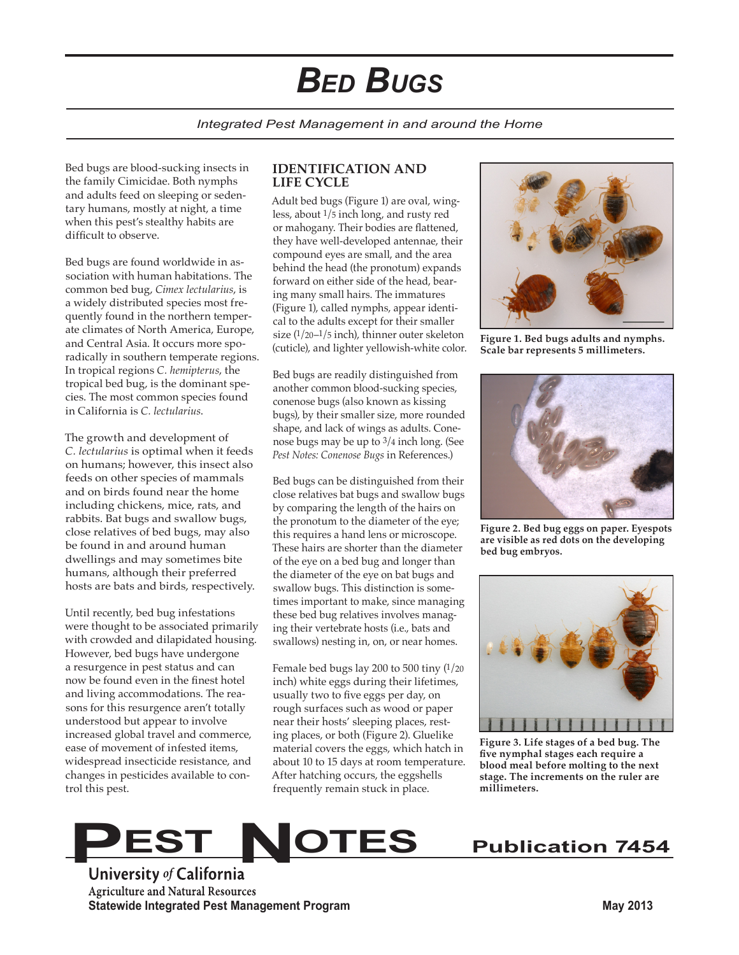# *Bed Bugs*

#### *Integrated Pest Management in and around the Home*

Bed bugs are blood-sucking insects in the family Cimicidae. Both nymphs and adults feed on sleeping or sedentary humans, mostly at night, a time when this pest's stealthy habits are difficult to observe.

Bed bugs are found worldwide in association with human habitations. The common bed bug, *Cimex lectularius*, is a widely distributed species most frequently found in the northern temperate climates of North America, Europe, and Central Asia. It occurs more sporadically in southern temperate regions. In tropical regions *C. hemipterus*, the tropical bed bug, is the dominant species. The most common species found in California is *C. lectularius*.

The growth and development of *C. lectularius* is optimal when it feeds on humans; however, this insect also feeds on other species of mammals and on birds found near the home including chickens, mice, rats, and rabbits. Bat bugs and swallow bugs, close relatives of bed bugs, may also be found in and around human dwellings and may sometimes bite humans, although their preferred hosts are bats and birds, respectively.

Until recently, bed bug infestations were thought to be associated primarily with crowded and dilapidated housing. However, bed bugs have undergone a resurgence in pest status and can now be found even in the finest hotel and living accommodations. The reasons for this resurgence aren't totally understood but appear to involve increased global travel and commerce, ease of movement of infested items, widespread insecticide resistance, and changes in pesticides available to control this pest.

#### **IDENTIFICATION AND LIFE CYCLE**

Adult bed bugs (Figure 1) are oval, wingless, about 1/5 inch long, and rusty red or mahogany. Their bodies are flattened, they have well-developed antennae, their compound eyes are small, and the area behind the head (the pronotum) expands forward on either side of the head, bearing many small hairs. The immatures (Figure 1), called nymphs, appear identical to the adults except for their smaller size (1/20–1/5 inch), thinner outer skeleton (cuticle), and lighter yellowish-white color.

Bed bugs are readily distinguished from another common blood-sucking species, conenose bugs (also known as kissing bugs), by their smaller size, more rounded shape, and lack of wings as adults. Conenose bugs may be up to 3/4 inch long. (See *Pest Notes: Conenose Bugs* in References.)

Bed bugs can be distinguished from their close relatives bat bugs and swallow bugs by comparing the length of the hairs on the pronotum to the diameter of the eye; this requires a hand lens or microscope. These hairs are shorter than the diameter of the eye on a bed bug and longer than the diameter of the eye on bat bugs and swallow bugs. This distinction is sometimes important to make, since managing these bed bug relatives involves managing their vertebrate hosts (i.e., bats and swallows) nesting in, on, or near homes.

Female bed bugs lay 200 to 500 tiny (1/20 inch) white eggs during their lifetimes, usually two to five eggs per day, on rough surfaces such as wood or paper near their hosts' sleeping places, resting places, or both (Figure 2). Gluelike material covers the eggs, which hatch in about 10 to 15 days at room temperature. After hatching occurs, the eggshells frequently remain stuck in place.



**Figure 1. Bed bugs adults and nymphs. Scale bar represents 5 millimeters.**



**Figure 2. Bed bug eggs on paper. Eyespots are visible as red dots on the developing bed bug embryos.**



**Figure 3. Life stages of a bed bug. The five nymphal stages each require a blood meal before molting to the next stage. The increments on the ruler are millimeters.**

# **PEST NOTES** Publication 7454

**Statewide Integrated Pest Management Program May 2013**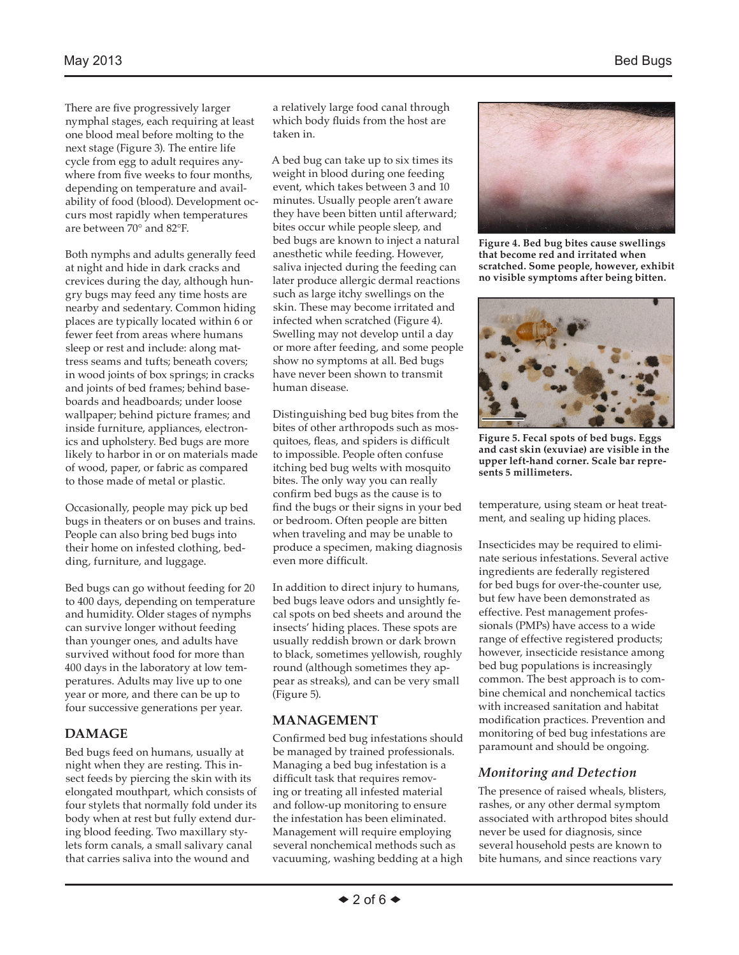There are five progressively larger nymphal stages, each requiring at least one blood meal before molting to the next stage (Figure 3). The entire life cycle from egg to adult requires anywhere from five weeks to four months, depending on temperature and availability of food (blood). Development occurs most rapidly when temperatures are between 70° and 82°F.

Both nymphs and adults generally feed at night and hide in dark cracks and crevices during the day, although hungry bugs may feed any time hosts are nearby and sedentary. Common hiding places are typically located within 6 or fewer feet from areas where humans sleep or rest and include: along mattress seams and tufts; beneath covers; in wood joints of box springs; in cracks and joints of bed frames; behind baseboards and headboards; under loose wallpaper; behind picture frames; and inside furniture, appliances, electronics and upholstery. Bed bugs are more likely to harbor in or on materials made of wood, paper, or fabric as compared to those made of metal or plastic.

Occasionally, people may pick up bed bugs in theaters or on buses and trains. People can also bring bed bugs into their home on infested clothing, bedding, furniture, and luggage.

Bed bugs can go without feeding for 20 to 400 days, depending on temperature and humidity. Older stages of nymphs can survive longer without feeding than younger ones, and adults have survived without food for more than 400 days in the laboratory at low temperatures. Adults may live up to one year or more, and there can be up to four successive generations per year.

# **DAMAGE**

Bed bugs feed on humans, usually at night when they are resting. This insect feeds by piercing the skin with its elongated mouthpart, which consists of four stylets that normally fold under its body when at rest but fully extend during blood feeding. Two maxillary stylets form canals, a small salivary canal that carries saliva into the wound and

a relatively large food canal through which body fluids from the host are taken in.

A bed bug can take up to six times its weight in blood during one feeding event, which takes between 3 and 10 minutes. Usually people aren't aware they have been bitten until afterward; bites occur while people sleep, and bed bugs are known to inject a natural anesthetic while feeding. However, saliva injected during the feeding can later produce allergic dermal reactions such as large itchy swellings on the skin. These may become irritated and infected when scratched (Figure 4). Swelling may not develop until a day or more after feeding, and some people show no symptoms at all. Bed bugs have never been shown to transmit human disease.

Distinguishing bed bug bites from the bites of other arthropods such as mosquitoes, fleas, and spiders is difficult to impossible. People often confuse itching bed bug welts with mosquito bites. The only way you can really confirm bed bugs as the cause is to find the bugs or their signs in your bed or bedroom. Often people are bitten when traveling and may be unable to produce a specimen, making diagnosis even more difficult.

In addition to direct injury to humans, bed bugs leave odors and unsightly fecal spots on bed sheets and around the insects' hiding places. These spots are usually reddish brown or dark brown to black, sometimes yellowish, roughly round (although sometimes they appear as streaks), and can be very small (Figure 5).

## **MANAGEMENT**

Confirmed bed bug infestations should be managed by trained professionals. Managing a bed bug infestation is a difficult task that requires removing or treating all infested material and follow-up monitoring to ensure the infestation has been eliminated. Management will require employing several nonchemical methods such as vacuuming, washing bedding at a high



**Figure 4. Bed bug bites cause swellings that become red and irritated when scratched. Some people, however, exhibit no visible symptoms after being bitten.**



**Figure 5. Fecal spots of bed bugs. Eggs and cast skin (exuviae) are visible in the upper left-hand corner. Scale bar represents 5 millimeters.**

temperature, using steam or heat treatment, and sealing up hiding places.

Insecticides may be required to eliminate serious infestations. Several active ingredients are federally registered for bed bugs for over-the-counter use, but few have been demonstrated as effective. Pest management professionals (PMPs) have access to a wide range of effective registered products; however, insecticide resistance among bed bug populations is increasingly common. The best approach is to combine chemical and nonchemical tactics with increased sanitation and habitat modification practices. Prevention and monitoring of bed bug infestations are paramount and should be ongoing.

# *Monitoring and Detection*

The presence of raised wheals, blisters, rashes, or any other dermal symptom associated with arthropod bites should never be used for diagnosis, since several household pests are known to bite humans, and since reactions vary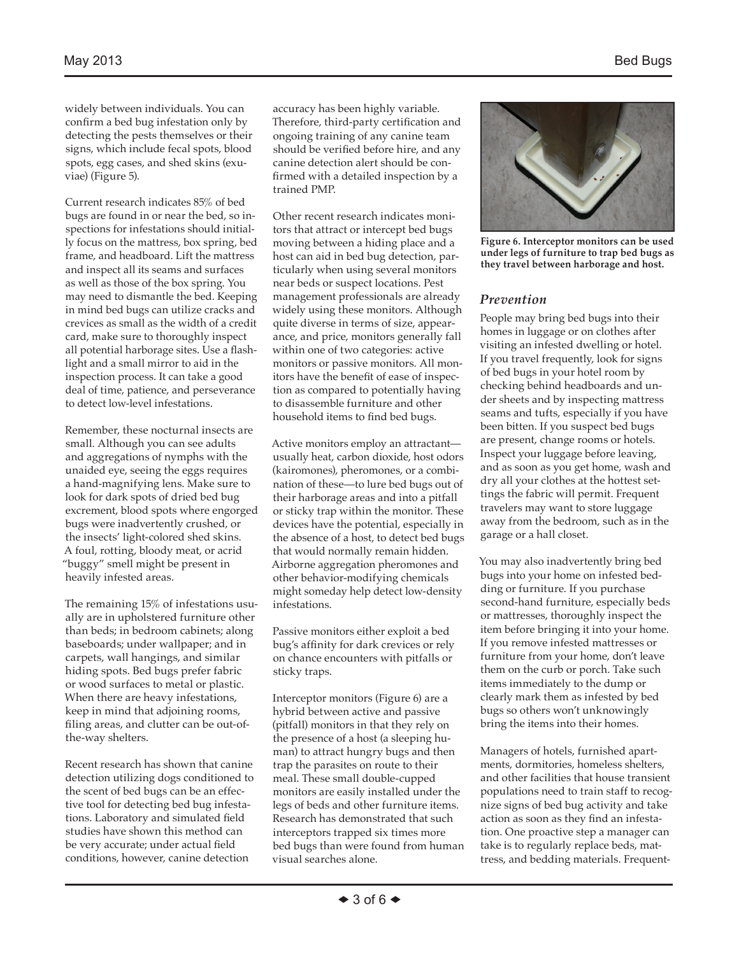widely between individuals. You can confirm a bed bug infestation only by detecting the pests themselves or their signs, which include fecal spots, blood spots, egg cases, and shed skins (exuviae) (Figure 5).

Current research indicates 85% of bed bugs are found in or near the bed, so inspections for infestations should initially focus on the mattress, box spring, bed frame, and headboard. Lift the mattress and inspect all its seams and surfaces as well as those of the box spring. You may need to dismantle the bed. Keeping in mind bed bugs can utilize cracks and crevices as small as the width of a credit card, make sure to thoroughly inspect all potential harborage sites. Use a flashlight and a small mirror to aid in the inspection process. It can take a good deal of time, patience, and perseverance to detect low-level infestations.

Remember, these nocturnal insects are small. Although you can see adults and aggregations of nymphs with the unaided eye, seeing the eggs requires a hand-magnifying lens. Make sure to look for dark spots of dried bed bug excrement, blood spots where engorged bugs were inadvertently crushed, or the insects' light-colored shed skins. A foul, rotting, bloody meat, or acrid "buggy" smell might be present in heavily infested areas.

The remaining 15% of infestations usually are in upholstered furniture other than beds; in bedroom cabinets; along baseboards; under wallpaper; and in carpets, wall hangings, and similar hiding spots. Bed bugs prefer fabric or wood surfaces to metal or plastic. When there are heavy infestations, keep in mind that adjoining rooms, filing areas, and clutter can be out-ofthe-way shelters.

Recent research has shown that canine detection utilizing dogs conditioned to the scent of bed bugs can be an effective tool for detecting bed bug infestations. Laboratory and simulated field studies have shown this method can be very accurate; under actual field conditions, however, canine detection

accuracy has been highly variable. Therefore, third-party certification and ongoing training of any canine team should be verified before hire, and any canine detection alert should be confirmed with a detailed inspection by a trained PMP.

Other recent research indicates monitors that attract or intercept bed bugs moving between a hiding place and a host can aid in bed bug detection, particularly when using several monitors near beds or suspect locations. Pest management professionals are already widely using these monitors. Although quite diverse in terms of size, appearance, and price, monitors generally fall within one of two categories: active monitors or passive monitors. All monitors have the benefit of ease of inspection as compared to potentially having to disassemble furniture and other household items to find bed bugs.

Active monitors employ an attractant usually heat, carbon dioxide, host odors (kairomones), pheromones, or a combination of these—to lure bed bugs out of their harborage areas and into a pitfall or sticky trap within the monitor. These devices have the potential, especially in the absence of a host, to detect bed bugs that would normally remain hidden. Airborne aggregation pheromones and other behavior-modifying chemicals might someday help detect low-density infestations.

Passive monitors either exploit a bed bug's affinity for dark crevices or rely on chance encounters with pitfalls or sticky traps.

Interceptor monitors (Figure 6) are a hybrid between active and passive (pitfall) monitors in that they rely on the presence of a host (a sleeping human) to attract hungry bugs and then trap the parasites on route to their meal. These small double-cupped monitors are easily installed under the legs of beds and other furniture items. Research has demonstrated that such interceptors trapped six times more bed bugs than were found from human visual searches alone.



**Figure 6. Interceptor monitors can be used under legs of furniture to trap bed bugs as they travel between harborage and host.**

#### *Prevention*

People may bring bed bugs into their homes in luggage or on clothes after visiting an infested dwelling or hotel. If you travel frequently, look for signs of bed bugs in your hotel room by checking behind headboards and under sheets and by inspecting mattress seams and tufts, especially if you have been bitten. If you suspect bed bugs are present, change rooms or hotels. Inspect your luggage before leaving, and as soon as you get home, wash and dry all your clothes at the hottest settings the fabric will permit. Frequent travelers may want to store luggage away from the bedroom, such as in the garage or a hall closet.

You may also inadvertently bring bed bugs into your home on infested bedding or furniture. If you purchase second-hand furniture, especially beds or mattresses, thoroughly inspect the item before bringing it into your home. If you remove infested mattresses or furniture from your home, don't leave them on the curb or porch. Take such items immediately to the dump or clearly mark them as infested by bed bugs so others won't unknowingly bring the items into their homes.

Managers of hotels, furnished apartments, dormitories, homeless shelters, and other facilities that house transient populations need to train staff to recognize signs of bed bug activity and take action as soon as they find an infestation. One proactive step a manager can take is to regularly replace beds, mattress, and bedding materials. Frequent-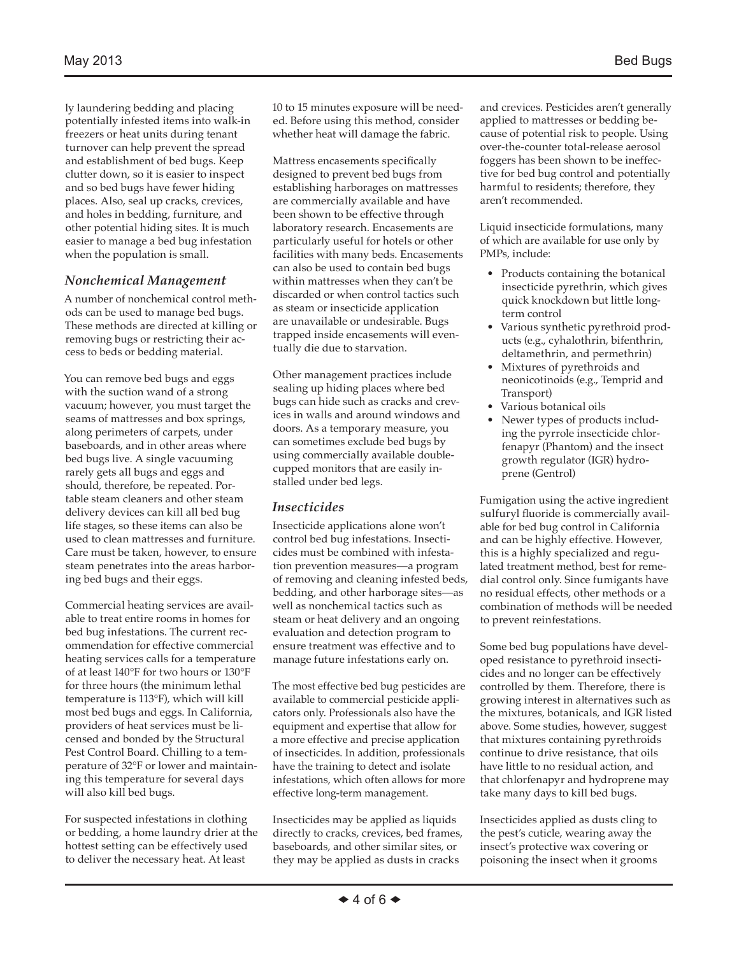ly laundering bedding and placing potentially infested items into walk-in freezers or heat units during tenant turnover can help prevent the spread and establishment of bed bugs. Keep clutter down, so it is easier to inspect and so bed bugs have fewer hiding places. Also, seal up cracks, crevices, and holes in bedding, furniture, and other potential hiding sites. It is much easier to manage a bed bug infestation when the population is small.

#### *Nonchemical Management*

A number of nonchemical control methods can be used to manage bed bugs. These methods are directed at killing or removing bugs or restricting their access to beds or bedding material.

You can remove bed bugs and eggs with the suction wand of a strong vacuum; however, you must target the seams of mattresses and box springs, along perimeters of carpets, under baseboards, and in other areas where bed bugs live. A single vacuuming rarely gets all bugs and eggs and should, therefore, be repeated. Portable steam cleaners and other steam delivery devices can kill all bed bug life stages, so these items can also be used to clean mattresses and furniture. Care must be taken, however, to ensure steam penetrates into the areas harboring bed bugs and their eggs.

Commercial heating services are available to treat entire rooms in homes for bed bug infestations. The current recommendation for effective commercial heating services calls for a temperature of at least 140°F for two hours or 130°F for three hours (the minimum lethal temperature is 113°F), which will kill most bed bugs and eggs. In California, providers of heat services must be licensed and bonded by the Structural Pest Control Board. Chilling to a temperature of 32°F or lower and maintaining this temperature for several days will also kill bed bugs.

For suspected infestations in clothing or bedding, a home laundry drier at the hottest setting can be effectively used to deliver the necessary heat. At least

10 to 15 minutes exposure will be needed. Before using this method, consider whether heat will damage the fabric.

Mattress encasements specifically designed to prevent bed bugs from establishing harborages on mattresses are commercially available and have been shown to be effective through laboratory research. Encasements are particularly useful for hotels or other facilities with many beds. Encasements can also be used to contain bed bugs within mattresses when they can't be discarded or when control tactics such as steam or insecticide application are unavailable or undesirable. Bugs trapped inside encasements will eventually die due to starvation.

Other management practices include sealing up hiding places where bed bugs can hide such as cracks and crevices in walls and around windows and doors. As a temporary measure, you can sometimes exclude bed bugs by using commercially available doublecupped monitors that are easily installed under bed legs.

#### *Insecticides*

Insecticide applications alone won't control bed bug infestations. Insecticides must be combined with infestation prevention measures—a program of removing and cleaning infested beds, bedding, and other harborage sites—as well as nonchemical tactics such as steam or heat delivery and an ongoing evaluation and detection program to ensure treatment was effective and to manage future infestations early on.

The most effective bed bug pesticides are available to commercial pesticide applicators only. Professionals also have the equipment and expertise that allow for a more effective and precise application of insecticides. In addition, professionals have the training to detect and isolate infestations, which often allows for more effective long-term management.

Insecticides may be applied as liquids directly to cracks, crevices, bed frames, baseboards, and other similar sites, or they may be applied as dusts in cracks

and crevices. Pesticides aren't generally applied to mattresses or bedding because of potential risk to people. Using over-the-counter total-release aerosol foggers has been shown to be ineffective for bed bug control and potentially harmful to residents; therefore, they aren't recommended.

Liquid insecticide formulations, many of which are available for use only by PMPs, include:

- Products containing the botanical insecticide pyrethrin, which gives quick knockdown but little longterm control
- Various synthetic pyrethroid products (e.g., cyhalothrin, bifenthrin, deltamethrin, and permethrin)
- Mixtures of pyrethroids and neonicotinoids (e.g., Temprid and Transport)
- Various botanical oils
- Newer types of products including the pyrrole insecticide chlorfenapyr (Phantom) and the insect growth regulator (IGR) hydroprene (Gentrol)

Fumigation using the active ingredient sulfuryl fluoride is commercially available for bed bug control in California and can be highly effective. However, this is a highly specialized and regulated treatment method, best for remedial control only. Since fumigants have no residual effects, other methods or a combination of methods will be needed to prevent reinfestations.

Some bed bug populations have developed resistance to pyrethroid insecticides and no longer can be effectively controlled by them. Therefore, there is growing interest in alternatives such as the mixtures, botanicals, and IGR listed above. Some studies, however, suggest that mixtures containing pyrethroids continue to drive resistance, that oils have little to no residual action, and that chlorfenapyr and hydroprene may take many days to kill bed bugs.

Insecticides applied as dusts cling to the pest's cuticle, wearing away the insect's protective wax covering or poisoning the insect when it grooms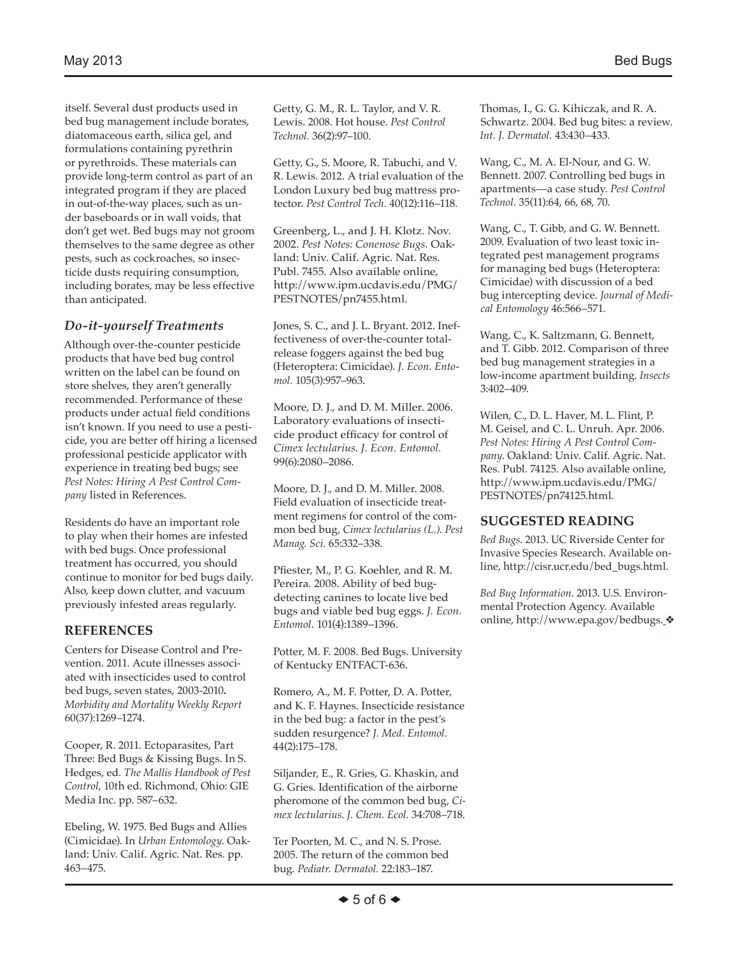itself. Several dust products used in bed bug management include borates, diatomaceous earth, silica gel, and formulations containing pyrethrin or pyrethroids. These materials can provide long-term control as part of an integrated program if they are placed in out-of-the-way places, such as under baseboards or in wall voids, that don't get wet. Bed bugs may not groom themselves to the same degree as other pests, such as cockroaches, so insecticide dusts requiring consumption, including borates, may be less effective than anticipated.

#### *Do-it-yourself Treatments*

Although over-the-counter pesticide products that have bed bug control written on the label can be found on store shelves, they aren't generally recommended. Performance of these products under actual field conditions isn't known. If you need to use a pesticide, you are better off hiring a licensed professional pesticide applicator with experience in treating bed bugs; see *Pest Notes: Hiring A Pest Control Company* listed in References.

Residents do have an important role to play when their homes are infested with bed bugs. Once professional treatment has occurred, you should continue to monitor for bed bugs daily. Also, keep down clutter, and vacuum previously infested areas regularly.

## **REFERENCES**

Centers for Disease Control and Prevention. 2011. Acute illnesses associated with insecticides used to control bed bugs, seven states, 2003-2010**.**  *Morbidity and Mortality Weekly Report* 60(37):1269–1274.

Cooper, R. 2011. Ectoparasites, Part Three: Bed Bugs & Kissing Bugs. In S. Hedges, ed. *The Mallis Handbook of Pest Control*, 10th ed. Richmond, Ohio: GIE Media Inc. pp. 587–632.

Ebeling, W. 1975. Bed Bugs and Allies (Cimicidae). In *Urban Entomology*. Oakland: Univ. Calif. Agric. Nat. Res. pp. 463–475.

Getty, G. M., R. L. Taylor, and V. R. Lewis. 2008. Hot house. *Pest Control Technol.* 36(2):97–100.

Getty, G., S. Moore, R. Tabuchi, and V. R. Lewis. 2012. A trial evaluation of the London Luxury bed bug mattress protector. *Pest Control Tech.* 40(12):116–118.

Greenberg, L., and J. H. Klotz. Nov. 2002. *Pest Notes: Conenose Bugs.* Oakland: Univ. Calif. Agric. Nat. Res. Publ. 7455. Also available online, http://www.ipm.ucdavis.edu/PMG/ PESTNOTES/pn7455.html.

Jones, S. C., and J. L. Bryant. 2012. Ineffectiveness of over-the-counter totalrelease foggers against the bed bug (Heteroptera: Cimicidae). *J. Econ. Entomol.* 105(3):957–963.

Moore, D. J., and D. M. Miller. 2006. Laboratory evaluations of insecticide product efficacy for control of *Cimex lectularius*. *J. Econ. Entomol.* 99(6):2080–2086.

Moore, D. J., and D. M. Miller. 2008. Field evaluation of insecticide treatment regimens for control of the common bed bug, *Cimex lectularius (L.)*. *Pest Manag. Sci.* 65:332–338.

Pfiester, M., P. G. Koehler, and R. M. Pereira. 2008. Ability of bed bugdetecting canines to locate live bed bugs and viable bed bug eggs. *J. Econ. Entomol*. 101(4):1389–1396.

Potter, M. F. 2008. Bed Bugs. University of Kentucky ENTFACT-636.

Romero, A., M. F. Potter, D. A. Potter, and K. F. Haynes. Insecticide resistance in the bed bug: a factor in the pest's sudden resurgence? *J. Med. Entomol.* 44(2):175–178.

Siljander, E., R. Gries, G. Khaskin, and G. Gries. Identification of the airborne pheromone of the common bed bug, *Cimex lectularius*. *J. Chem. Ecol.* 34:708–718.

Ter Poorten, M. C., and N. S. Prose. 2005. The return of the common bed bug. *Pediatr. Dermatol.* 22:183–187.

Thomas, I., G. G. Kihiczak, and R. A. Schwartz. 2004. Bed bug bites: a review. *Int. J. Dermatol.* 43:430–433.

Wang, C., M. A. El-Nour, and G. W. Bennett. 2007. Controlling bed bugs in apartments—a case study. *Pest Control Technol.* 35(11):64, 66, 68, 70.

Wang, C., T. Gibb, and G. W. Bennett. 2009. Evaluation of two least toxic integrated pest management programs for managing bed bugs (Heteroptera: Cimicidae) with discussion of a bed bug intercepting device. *Journal of Medical Entomology* 46:566–571.

Wang, C., K. Saltzmann, G. Bennett, and T. Gibb. 2012. Comparison of three bed bug management strategies in a low-income apartment building. *Insects* 3:402–409.

Wilen, C., D. L. Haver, M. L. Flint, P. M. Geisel, and C. L. Unruh. Apr. 2006. *Pest Notes: Hiring A Pest Control Company*. Oakland: Univ. Calif. Agric. Nat. Res. Publ. 74125. Also available online, http://www.ipm.ucdavis.edu/PMG/ PESTNOTES/pn74125.html.

#### **SUGGESTED READING**

*Bed Bugs*. 2013. UC Riverside Center for Invasive Species Research. Available online, http://cisr.ucr.edu/bed\_bugs.html.

*Bed Bug Information*. 2013. U.S. Environmental Protection Agency. Available online, http://www.epa.gov/bedbugs. ❖